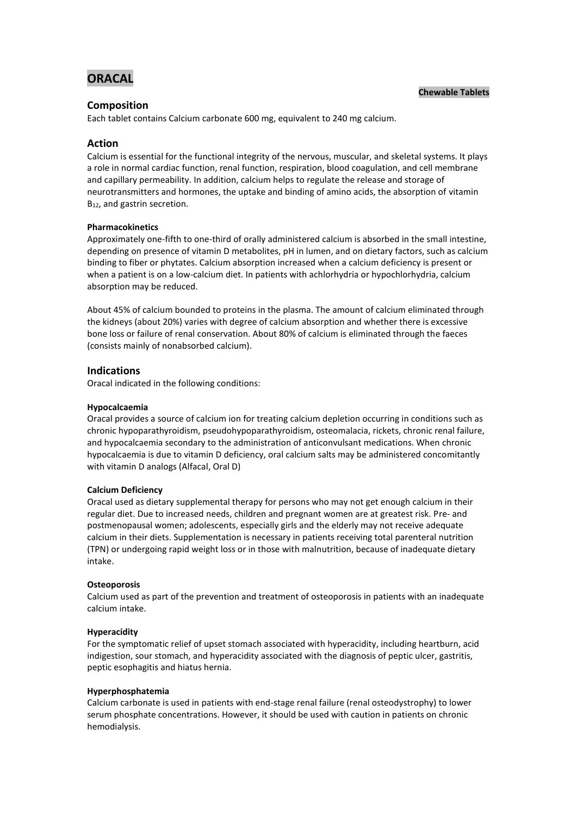# **ORACAL**

### **Chewable Tablets**

# **Composition**

Each tablet contains Calcium carbonate 600 mg, equivalent to 240 mg calcium.

# **Action**

Calcium is essential for the functional integrity of the nervous, muscular, and skeletal systems. It plays a role in normal cardiac function, renal function, respiration, blood coagulation, and cell membrane and capillary permeability. In addition, calcium helps to regulate the release and storage of neurotransmitters and hormones, the uptake and binding of amino acids, the absorption of vitamin B<sub>12</sub>, and gastrin secretion.

### **Pharmacokinetics**

Approximately one-fifth to one-third of orally administered calcium is absorbed in the small intestine, depending on presence of vitamin D metabolites, pH in lumen, and on dietary factors, such as calcium binding to fiber or phytates. Calcium absorption increased when a calcium deficiency is present or when a patient is on a low-calcium diet. In patients with achlorhydria or hypochlorhydria, calcium absorption may be reduced.

About 45% of calcium bounded to proteins in the plasma. The amount of calcium eliminated through the kidneys (about 20%) varies with degree of calcium absorption and whether there is excessive bone loss or failure of renal conservation. About 80% of calcium is eliminated through the faeces (consists mainly of nonabsorbed calcium).

### **Indications**

Oracal indicated in the following conditions:

### **Hypocalcaemia**

Oracal provides a source of calcium ion for treating calcium depletion occurring in conditions such as chronic hypoparathyroidism, pseudohypoparathyroidism, osteomalacia, rickets, chronic renal failure, and hypocalcaemia secondary to the administration of anticonvulsant medications. When chronic hypocalcaemia is due to vitamin D deficiency, oral calcium salts may be administered concomitantly with vitamin D analogs (Alfacal, Oral D)

#### **Calcium Deficiency**

Oracal used as dietary supplemental therapy for persons who may not get enough calcium in their regular diet. Due to increased needs, children and pregnant women are at greatest risk. Pre- and postmenopausal women; adolescents, especially girls and the elderly may not receive adequate calcium in their diets. Supplementation is necessary in patients receiving total parenteral nutrition (TPN) or undergoing rapid weight loss or in those with malnutrition, because of inadequate dietary intake.

#### **Osteoporosis**

Calcium used as part of the prevention and treatment of osteoporosis in patients with an inadequate calcium intake.

#### **Hyperacidity**

For the symptomatic relief of upset stomach associated with hyperacidity, including heartburn, acid indigestion, sour stomach, and hyperacidity associated with the diagnosis of peptic ulcer, gastritis, peptic esophagitis and hiatus hernia.

#### **Hyperphosphatemia**

Calcium carbonate is used in patients with end-stage renal failure (renal osteodystrophy) to lower serum phosphate concentrations. However, it should be used with caution in patients on chronic hemodialysis.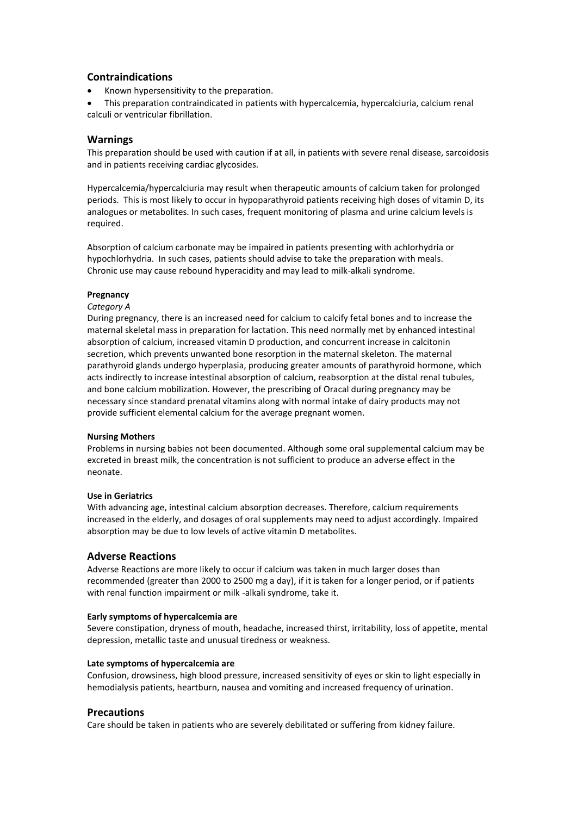# **Contraindications**

- Known hypersensitivity to the preparation.
- This preparation contraindicated in patients with hypercalcemia, hypercalciuria, calcium renal calculi or ventricular fibrillation.

# **Warnings**

This preparation should be used with caution if at all, in patients with severe renal disease, sarcoidosis and in patients receiving cardiac glycosides.

Hypercalcemia/hypercalciuria may result when therapeutic amounts of calcium taken for prolonged periods. This is most likely to occur in hypoparathyroid patients receiving high doses of vitamin D, its analogues or metabolites. In such cases, frequent monitoring of plasma and urine calcium levels is required.

Absorption of calcium carbonate may be impaired in patients presenting with achlorhydria or hypochlorhydria. In such cases, patients should advise to take the preparation with meals. Chronic use may cause rebound hyperacidity and may lead to milk-alkali syndrome.

### **Pregnancy**

### *Category A*

During pregnancy, there is an increased need for calcium to calcify fetal bones and to increase the maternal skeletal mass in preparation for lactation. This need normally met by enhanced intestinal absorption of calcium, increased vitamin D production, and concurrent increase in calcitonin secretion, which prevents unwanted bone resorption in the maternal skeleton. The maternal parathyroid glands undergo hyperplasia, producing greater amounts of parathyroid hormone, which acts indirectly to increase intestinal absorption of calcium, reabsorption at the distal renal tubules, and bone calcium mobilization. However, the prescribing of Oracal during pregnancy may be necessary since standard prenatal vitamins along with normal intake of dairy products may not provide sufficient elemental calcium for the average pregnant women.

### **Nursing Mothers**

Problems in nursing babies not been documented. Although some oral supplemental calcium may be excreted in breast milk, the concentration is not sufficient to produce an adverse effect in the neonate.

### **Use in Geriatrics**

With advancing age, intestinal calcium absorption decreases. Therefore, calcium requirements increased in the elderly, and dosages of oral supplements may need to adjust accordingly. Impaired absorption may be due to low levels of active vitamin D metabolites.

### **Adverse Reactions**

Adverse Reactions are more likely to occur if calcium was taken in much larger doses than recommended (greater than 2000 to 2500 mg a day), if it is taken for a longer period, or if patients with renal function impairment or milk -alkali syndrome, take it.

### **Early symptoms of hypercalcemia are**

Severe constipation, dryness of mouth, headache, increased thirst, irritability, loss of appetite, mental depression, metallic taste and unusual tiredness or weakness.

### **Late symptoms of hypercalcemia are**

Confusion, drowsiness, high blood pressure, increased sensitivity of eyes or skin to light especially in hemodialysis patients, heartburn, nausea and vomiting and increased frequency of urination.

### **Precautions**

Care should be taken in patients who are severely debilitated or suffering from kidney failure.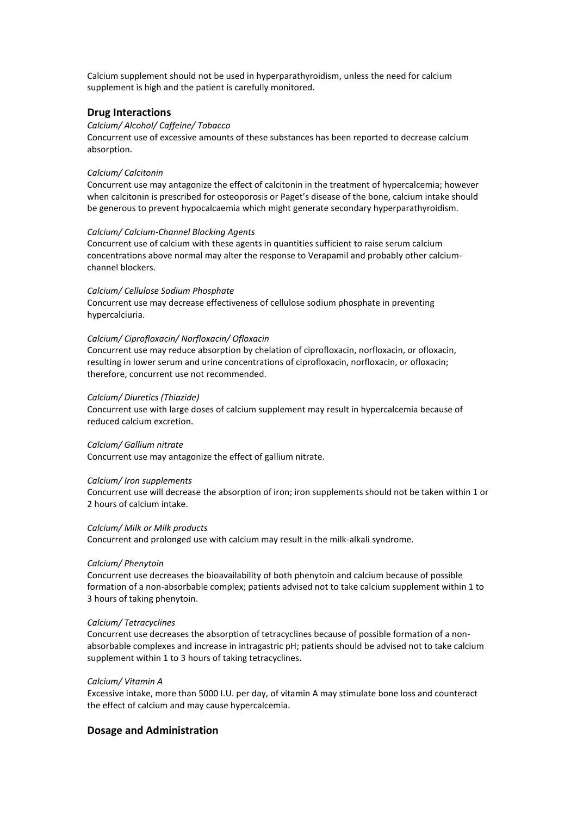Calcium supplement should not be used in hyperparathyroidism, unless the need for calcium supplement is high and the patient is carefully monitored.

### **Drug Interactions**

#### *Calcium/ Alcohol/ Caffeine/ Tobacco*

Concurrent use of excessive amounts of these substances has been reported to decrease calcium absorption.

#### *Calcium/ Calcitonin*

Concurrent use may antagonize the effect of calcitonin in the treatment of hypercalcemia; however when calcitonin is prescribed for osteoporosis or Paget's disease of the bone, calcium intake should be generous to prevent hypocalcaemia which might generate secondary hyperparathyroidism.

#### *Calcium/ Calcium-Channel Blocking Agents*

Concurrent use of calcium with these agents in quantities sufficient to raise serum calcium concentrations above normal may alter the response to Verapamil and probably other calciumchannel blockers.

### *Calcium/ Cellulose Sodium Phosphate*

Concurrent use may decrease effectiveness of cellulose sodium phosphate in preventing hypercalciuria.

#### *Calcium/ Ciprofloxacin/ Norfloxacin/ Ofloxacin*

Concurrent use may reduce absorption by chelation of ciprofloxacin, norfloxacin, or ofloxacin, resulting in lower serum and urine concentrations of ciprofloxacin, norfloxacin, or ofloxacin; therefore, concurrent use not recommended.

#### *Calcium/ Diuretics (Thiazide)*

Concurrent use with large doses of calcium supplement may result in hypercalcemia because of reduced calcium excretion.

#### *Calcium/ Gallium nitrate*

Concurrent use may antagonize the effect of gallium nitrate.

#### *Calcium/ Iron supplements*

Concurrent use will decrease the absorption of iron; iron supplements should not be taken within 1 or 2 hours of calcium intake.

#### *Calcium/ Milk or Milk products*

Concurrent and prolonged use with calcium may result in the milk-alkali syndrome.

#### *Calcium/ Phenytoin*

Concurrent use decreases the bioavailability of both phenytoin and calcium because of possible formation of a non-absorbable complex; patients advised not to take calcium supplement within 1 to 3 hours of taking phenytoin.

#### *Calcium/ Tetracyclines*

Concurrent use decreases the absorption of tetracyclines because of possible formation of a nonabsorbable complexes and increase in intragastric pH; patients should be advised not to take calcium supplement within 1 to 3 hours of taking tetracyclines.

#### *Calcium/ Vitamin A*

Excessive intake, more than 5000 I.U. per day, of vitamin A may stimulate bone loss and counteract the effect of calcium and may cause hypercalcemia.

### **Dosage and Administration**